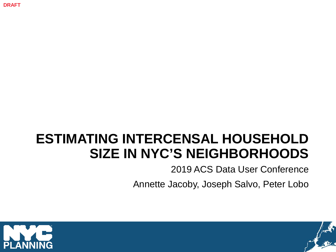**DRAFT**

# **ESTIMATING INTERCENSAL HOUSEHOLD SIZE IN NYC'S NEIGHBORHOODS**

2019 ACS Data User Conference

Annette Jacoby, Joseph Salvo, Peter Lobo



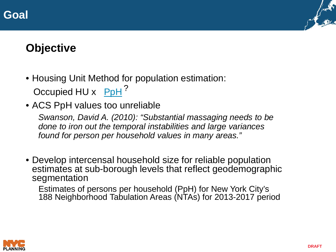



## **Objective**

- Housing Unit Method for population estimation: Occupied HU x PpH<sup>?</sup>
- ACS PpH values too unreliable

*Swanson, David A. (2010): "Substantial massaging needs to be done to iron out the temporal instabilities and large variances found for person per household values in many areas."*

• Develop intercensal household size for reliable population estimates at sub-borough levels that reflect geodemographic segmentation

Estimates of persons per household (PpH) for New York City's 188 Neighborhood Tabulation Areas (NTAs) for 2013-2017 period

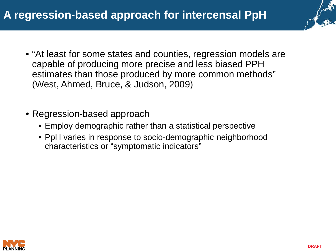

- "At least for some states and counties, regression models are capable of producing more precise and less biased PPH estimates than those produced by more common methods" (West, Ahmed, Bruce, & Judson, 2009)
- Regression-based approach
	- Employ demographic rather than a statistical perspective
	- PpH varies in response to socio-demographic neighborhood characteristics or "symptomatic indicators"

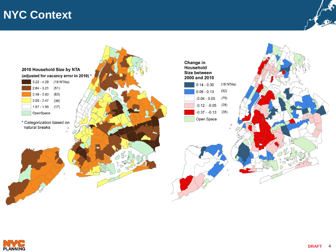### **NYC Context**





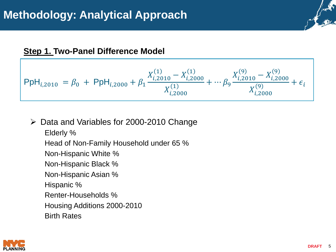$$
\mathsf{PpH}_{i,2010} = \beta_0 + \mathsf{PpH}_{i,2000} + \beta_1 \frac{X_{i,2010}^{(1)} - X_{i,2000}^{(1)}}{X_{i,2000}^{(1)}} + \cdots \beta_9 \frac{X_{i,2010}^{(9)} - X_{i,2000}^{(9)}}{X_{i,2000}^{(9)}} + \epsilon_i
$$

#### Data and Variables for 2000-2010 Change

Elderly % Head of Non-Family Household under 65 % Non-Hispanic White % Non-Hispanic Black % Non-Hispanic Asian % Hispanic % Renter-Households % Housing Additions 2000-2010 Birth Rates

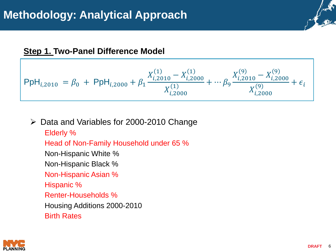

 $\triangleright$  Data and Variables for 2000-2010 Change

Elderly % Head of Non-Family Household under 65 % Non-Hispanic White % Non-Hispanic Black % Non-Hispanic Asian % Hispanic % Renter-Households % Housing Additions 2000-2010 Birth Rates

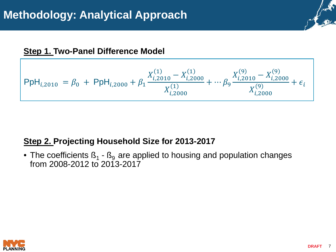

#### **Step 2. Projecting Household Size for 2013-2017**

• The coefficients  $\beta_1$  -  $\beta_9$  are applied to housing and population changes from 2008-2012 to 2013-2017

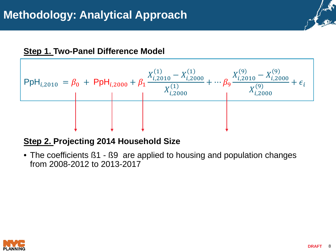

#### **Step 2. Projecting 2014 Household Size**

• The coefficients B1 - B9 are applied to housing and population changes from 2008-2012 to 2013-2017

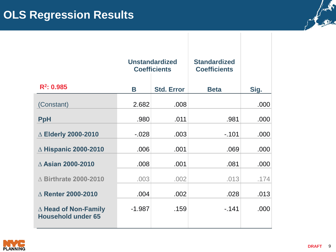|                                                          | <b>Unstandardized</b><br><b>Coefficients</b> |                   | <b>Standardized</b><br><b>Coefficients</b> |      |
|----------------------------------------------------------|----------------------------------------------|-------------------|--------------------------------------------|------|
| $R^2$ : 0.985                                            | B                                            | <b>Std. Error</b> | <b>Beta</b>                                | Sig. |
| (Constant)                                               | 2.682                                        | .008              |                                            | .000 |
| <b>PpH</b>                                               | .980                                         | .011              | .981                                       | .000 |
| △ Elderly 2000-2010                                      | $-0.028$                                     | .003              | $-101$                                     | .000 |
| $\triangle$ Hispanic 2000-2010                           | .006                                         | .001              | .069                                       | .000 |
| △ Asian 2000-2010                                        | .008                                         | .001              | .081                                       | .000 |
| $\triangle$ Birthrate 2000-2010                          | .003                                         | .002              | .013                                       | .174 |
| $\triangle$ Renter 2000-2010                             | .004                                         | .002              | .028                                       | .013 |
| $\Delta$ Head of Non-Family<br><b>Household under 65</b> | $-1.987$                                     | .159              | $-141$                                     | .000 |



Arthur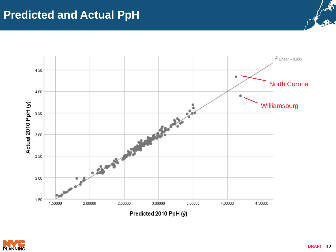

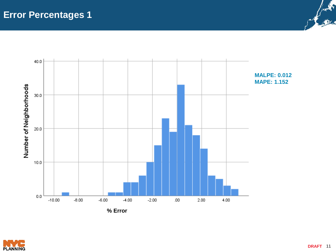



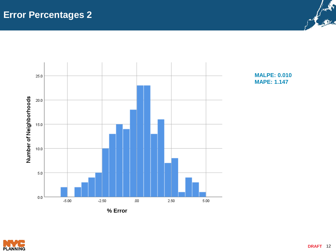

**MALPE: 0.010 MAPE: 1.147**



Jacks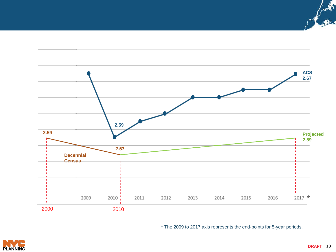

\* The 2009 to 2017 axis represents the end-points for 5-year periods.



Arthur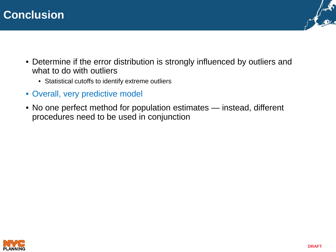



- Determine if the error distribution is strongly influenced by outliers and what to do with outliers
	- Statistical cutoffs to identify extreme outliers
- Overall, very predictive model
- No one perfect method for population estimates instead, different procedures need to be used in conjunction